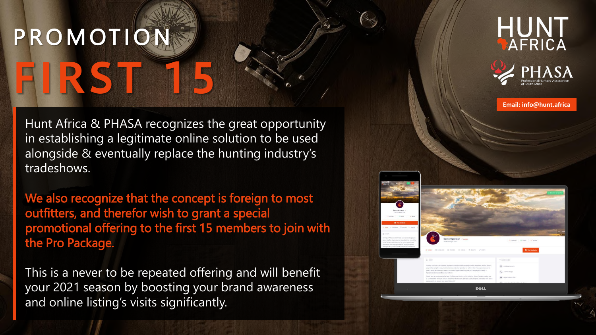## **P R O M OT I ON FIRST 15**

Hunt Africa & PHASA recognizes the great opportunity in establishing a legitimate online solution to be used alongside & eventually replace the hunting industry's tradeshows.

We also recognize that the concept is foreign to most outfitters, and therefor wish to grant a special promotional offering to the first 15 members to join with the Pro Package.

This is a never to be repeated offering and will benefit your 2021 season by boosting your brand awareness and online listing's visits significantly.





DELL

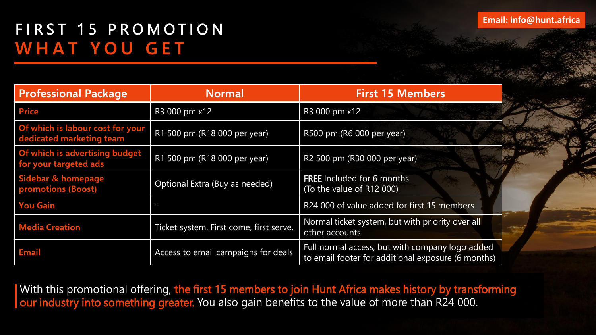## FIRST 15 PROMOTION **W H A T Y O U G E T**

| <b>Professional Package</b>                                  | <b>Normal</b>                           | <b>First 15 Members</b>                                                                               |
|--------------------------------------------------------------|-----------------------------------------|-------------------------------------------------------------------------------------------------------|
| <b>Price</b>                                                 | R3 000 pm x12                           | R3 000 pm x12                                                                                         |
| Of which is labour cost for your<br>dedicated marketing team | R1 500 pm (R18 000 per year)            | R500 pm (R6 000 per year)                                                                             |
| Of which is advertising budget<br>for your targeted ads      | R1 500 pm (R18 000 per year)            | R2 500 pm (R30 000 per year)                                                                          |
| Sidebar & homepage<br><b>promotions (Boost)</b>              | Optional Extra (Buy as needed)          | <b>FREE</b> Included for 6 months<br>(To the value of R12 000)                                        |
| <b>You Gain</b>                                              | ı                                       | R24 000 of value added for first 15 members                                                           |
| <b>Media Creation</b>                                        | Ticket system. First come, first serve. | Normal ticket system, but with priority over all<br>other accounts.                                   |
| Email                                                        | Access to email campaigns for deals     | Full normal access, but with company logo added<br>to email footer for additional exposure (6 months) |

With this promotional offering, the first 15 members to join Hunt Africa makes history by transforming our industry into something greater. You also gain benefits to the value of more than R24 000.